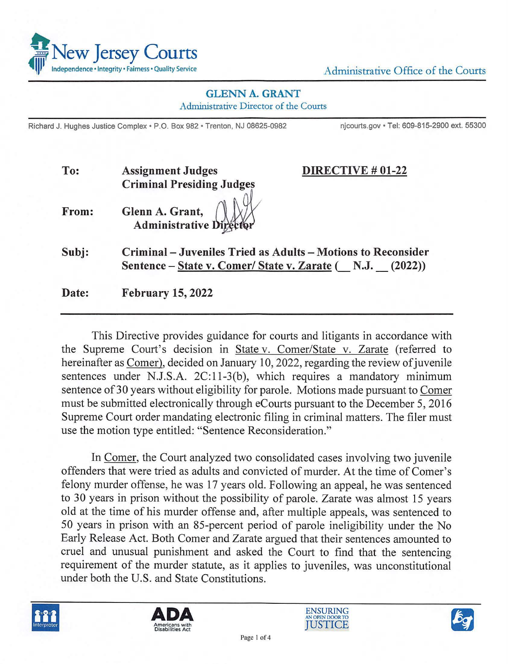

## **GLENN A. GRANT**

Administrative Director of the Courts

Richard J. Hughes Justice Complex · P.O. Box 982 · Trenton, NJ 08625-0982 njcourts.gov · Tel: 609-815-2900 ext. 55300

| To:   | <b>Assignment Judges</b>                | DIRECTIVE # 01-22                                                                                                        |
|-------|-----------------------------------------|--------------------------------------------------------------------------------------------------------------------------|
|       | <b>Criminal Presiding Judges</b>        |                                                                                                                          |
| From: | Glenn A. Grant, Administrative Director |                                                                                                                          |
| Subj: |                                         | Criminal – Juveniles Tried as Adults – Motions to Reconsider<br>Sentence – State v. Comer/ State v. Zarate (N.J. (2022)) |
| Date: | <b>February 15, 2022</b>                |                                                                                                                          |

This Directive provides guidance for courts and litigants in accordance with the Supreme Court's decision in State v. Comer/State v. Zarate (referred to hereinafter as Comer), decided on January 10, 2022, regarding the review of juvenile sentences under N.J.S.A. 2C:11-3(b), which requires a mandatory minimum sentence of 30 years without eligibility for parole. Motions made pursuant to Comer must be submitted electronically through eCourts pursuant to the December 5, 2016 Supreme Court order mandating electronic filing in criminal matters. The filer must use the motion type entitled: "Sentence Reconsideration."

In Comer, the Court analyzed two consolidated cases involving two juvenile offenders that were tried as adults and convicted of murder. At the time of Comer's felony murder offense, he was 17 years old. Following an appeal, he was sentenced to 30 years in prison without the possibility of parole. Zarate was almost 15 years old at the time of his murder offense and, after multiple appeals, was sentenced to 50 years in prison with an 85-percent period of parole ineligibility under the No Early Release Act. Both Comer and Zarate argued that their sentences amounted to cruel and unusual punishment and asked the Court to find that the sentencing requirement of the murder statute, as it applies to juveniles, was unconstitutional under both the U.S. and State Constitutions.







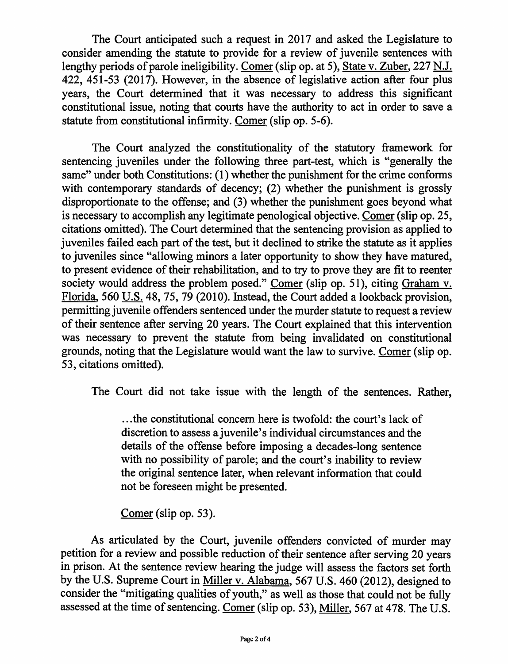The Court anticipated such a request in 2017 and asked the Legislature to consider amending the statute to provide for a review of juvenile sentences with lengthy periods of parole ineligibility. Comer (slip op. at 5), State v. Zuber, 227 N.J. 422, 451-53 (2017). However, in the absence of legislative action after four plus years, the Court determined that it was necessary to address this significant constitutional issue, noting that courts have the authority to act in order to save a statute from constitutional infirmity. Comer (slip op. 5-6).

The Court analyzed the constitutionality of the statutory framework for sentencing juveniles under the following three part-test, which is "generally the same" under both Constitutions: (1) whether the punishment for the crime conforms with contemporary standards of decency; (2) whether the punishment is grossly disproportionate to the offense; and (3) whether the punishment goes beyond what is necessary to accomplish any legitimate penological objective. Comer (slip op. 25, citations omitted). The Court determined that the sentencing provision as applied to juveniles failed each part of the test, but it declined to strike the statute as it applies to juveniles since "allowing minors a later opportunity to show they have matured, to present evidence of their rehabilitation, and to try to prove they are fit to reenter society would address the problem posed." Comer (slip op. 51), citing Graham v. Florida, 560 U.S. 48, 75, 79 (2010). Instead, the Court added a lookback provision, permitting juvenile offenders sentenced under the murder statute to request a review of their sentence after serving 20 years. The Court explained that this intervention was necessary to prevent the statute from being invalidated on constitutional grounds, noting that the Legislature would want the law to survive. Comer (slip op. 53, citations omitted).

The Court did not take issue with the length of the sentences. Rather,

... the constitutional concern here is twofold: the court's lack of discretion to assess a juvenile's individual circumstances and the details of the offense before imposing a decades-long sentence with no possibility of parole; and the court's inability to review the original sentence later, when relevant information that could not be foreseen might be presented.

Comer (slip op. 53).

As articulated by the Court, juvenile offenders convicted of murder may petition for a review and possible reduction of their sentence after serving 20 years in prison. At the sentence review hearing the judge will assess the factors set forth by the U.S. Supreme Court in Miller v. Alabama, 567 U.S. 460 (2012), designed to consider the "mitigating qualities of youth," as well as those that could not be fully assessed at the time of sentencing. Comer (slip op. 53), Miller, 567 at 478. The U.S.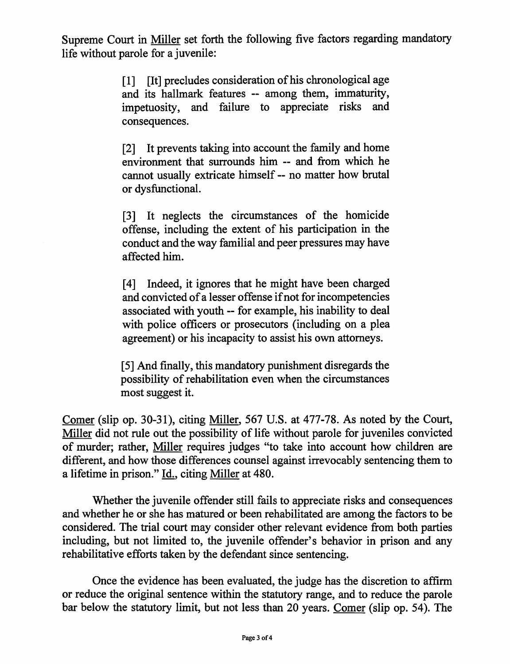Supreme Court in Miller set forth the following five factors regarding mandatory life without parole for a juvenile:

> [1] [It] precludes consideration of his chronological age and its hallmark features -- among them, immaturity, impetuosity, and failure to appreciate risks and consequences.

> [2] It prevents taking into account the family and home environment that surrounds him -- and from which he cannot usually extricate himself -- no matter how brutal or dysfunctional.

> [3] It neglects the circumstances of the homicide offense, including the extent of his participation in the conduct and the way familial and peer pressures may have affected him.

> [4] Indeed, it ignores that he might have been charged and convicted of a lesser offense if not for incompetencies associated with youth -- for example, his inability to deal with police officers or prosecutors (including on a plea agreement) or his incapacity to assist his own attorneys.

> [ 5] And finally, this mandatory punishment disregards the possibility of rehabilitation even when the circumstances most suggest it.

Comer (slip op. 30-31), citing Miller, 567 U.S. at 477-78. As noted by the Court, Miller did not rule out the possibility of life without parole for juveniles convicted of murder; rather, Miller requires judges "to take into account how children are different, and how those differences counsel against irrevocably sentencing them to a lifetime in prison." Id., citing Miller at 480.

Whether the juvenile offender still fails to appreciate risks and consequences and whether he or she has matured or been rehabilitated are among the factors to be considered. The trial court may consider other relevant evidence from both parties including, but not limited to, the juvenile offender's behavior in prison and any rehabilitative efforts taken by the defendant since sentencing.

Once the evidence has been evaluated, the judge has the discretion to affirm or reduce the original sentence within the statutory range, and to reduce the parole bar below the statutory limit, but not less than 20 years. Comer (slip op. 54). The